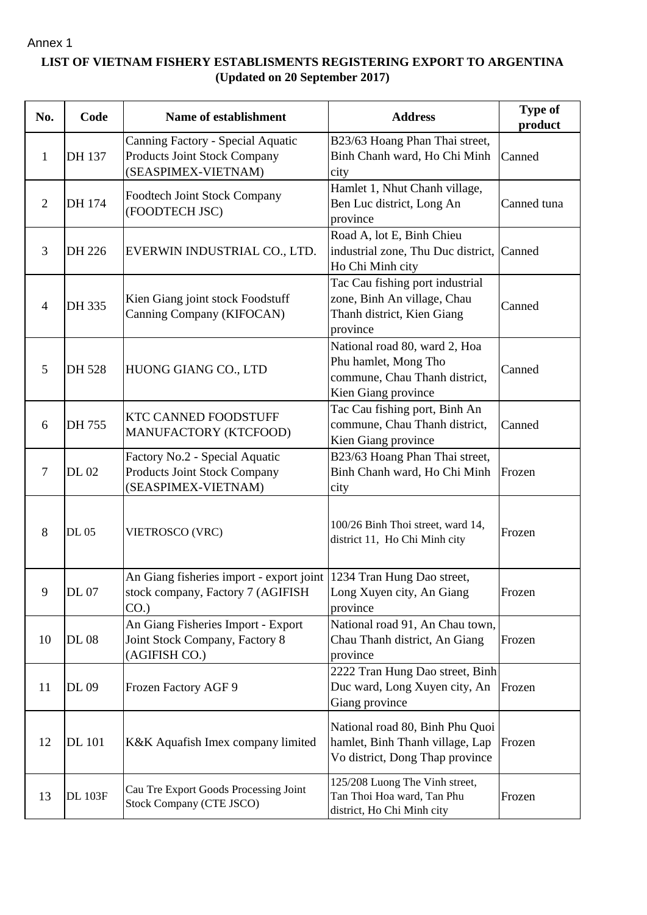## Annex 1

## **LIST OF VIETNAM FISHERY ESTABLISMENTS REGISTERING EXPORT TO ARGENTINA (Updated on 20 September 2017)**

| No.            | Code           | Name of establishment                                                                           | <b>Address</b>                                                                                                | <b>Type of</b><br>product |
|----------------|----------------|-------------------------------------------------------------------------------------------------|---------------------------------------------------------------------------------------------------------------|---------------------------|
| 1              | DH 137         | Canning Factory - Special Aquatic<br><b>Products Joint Stock Company</b><br>(SEASPIMEX-VIETNAM) | B23/63 Hoang Phan Thai street,<br>Binh Chanh ward, Ho Chi Minh<br>city                                        | Canned                    |
| $\overline{2}$ | DH 174         | <b>Foodtech Joint Stock Company</b><br>(FOODTECH JSC)                                           | Hamlet 1, Nhut Chanh village,<br>Ben Luc district, Long An<br>province                                        | Canned tuna               |
| 3              | DH 226         | EVERWIN INDUSTRIAL CO., LTD.                                                                    | Road A, lot E, Binh Chieu<br>industrial zone, Thu Duc district,<br>Ho Chi Minh city                           | Canned                    |
| 4              | DH 335         | Kien Giang joint stock Foodstuff<br>Canning Company (KIFOCAN)                                   | Tac Cau fishing port industrial<br>zone, Binh An village, Chau<br>Thanh district, Kien Giang<br>province      | Canned                    |
| 5              | DH 528         | HUONG GIANG CO., LTD                                                                            | National road 80, ward 2, Hoa<br>Phu hamlet, Mong Tho<br>commune, Chau Thanh district,<br>Kien Giang province | Canned                    |
| 6              | DH 755         | <b>KTC CANNED FOODSTUFF</b><br>MANUFACTORY (KTCFOOD)                                            | Tac Cau fishing port, Binh An<br>commune, Chau Thanh district,<br>Kien Giang province                         | Canned                    |
| $\overline{7}$ | <b>DL02</b>    | Factory No.2 - Special Aquatic<br>Products Joint Stock Company<br>(SEASPIMEX-VIETNAM)           | B23/63 Hoang Phan Thai street,<br>Binh Chanh ward, Ho Chi Minh<br>city                                        | Frozen                    |
| 8              | DL 05          | VIETROSCO (VRC)                                                                                 | 100/26 Binh Thoi street, ward 14,<br>district 11, Ho Chi Minh city                                            | Frozen                    |
| 9              | DL 07          | An Giang fisheries import - export joint<br>stock company, Factory 7 (AGIFISH<br>$CO.$ )        | 1234 Tran Hung Dao street,<br>Long Xuyen city, An Giang<br>province                                           | Frozen                    |
| 10             | <b>DL 08</b>   | An Giang Fisheries Import - Export<br>Joint Stock Company, Factory 8<br>(AGIFISH CO.)           | National road 91, An Chau town,<br>Chau Thanh district, An Giang<br>province                                  | Frozen                    |
| 11             | DL 09          | Frozen Factory AGF 9                                                                            | 2222 Tran Hung Dao street, Binh<br>Duc ward, Long Xuyen city, An<br>Giang province                            | Frozen                    |
| 12             | <b>DL</b> 101  | K&K Aquafish Imex company limited                                                               | National road 80, Binh Phu Quoi<br>hamlet, Binh Thanh village, Lap<br>Vo district, Dong Thap province         | Frozen                    |
| 13             | <b>DL 103F</b> | Cau Tre Export Goods Processing Joint<br>Stock Company (CTE JSCO)                               | 125/208 Luong The Vinh street,<br>Tan Thoi Hoa ward, Tan Phu<br>district, Ho Chi Minh city                    | Frozen                    |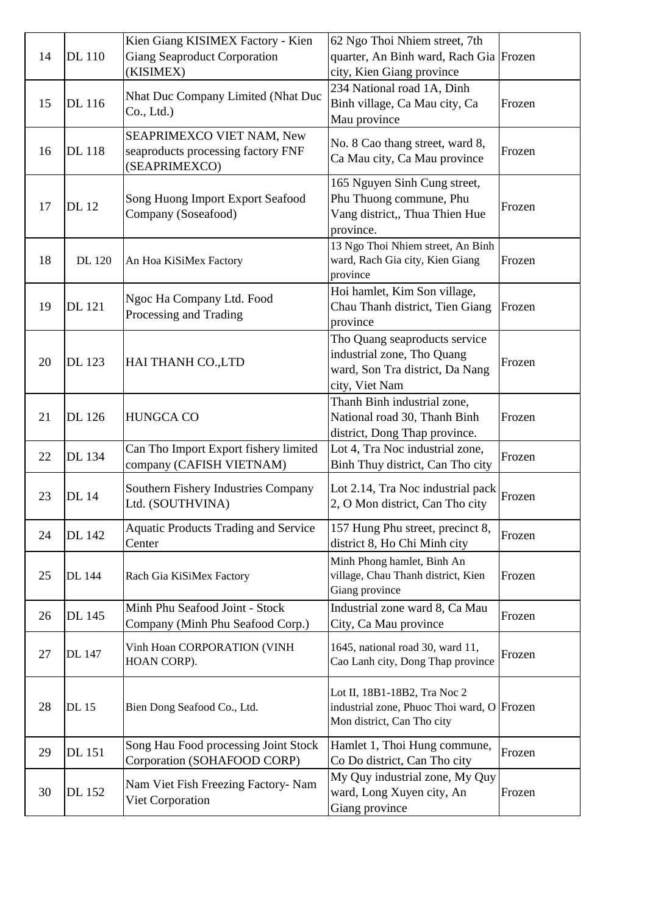| 14 | <b>DL</b> 110 | Kien Giang KISIMEX Factory - Kien<br><b>Giang Seaproduct Corporation</b><br>(KISIMEX) | 62 Ngo Thoi Nhiem street, 7th<br>quarter, An Binh ward, Rach Gia Frozen<br>city, Kien Giang province             |        |
|----|---------------|---------------------------------------------------------------------------------------|------------------------------------------------------------------------------------------------------------------|--------|
| 15 | DL 116        | Nhat Duc Company Limited (Nhat Duc<br>Co., Ltd.)                                      | 234 National road 1A, Dinh<br>Binh village, Ca Mau city, Ca<br>Mau province                                      | Frozen |
| 16 | <b>DL</b> 118 | SEAPRIMEXCO VIET NAM, New<br>seaproducts processing factory FNF<br>(SEAPRIMEXCO)      | No. 8 Cao thang street, ward 8,<br>Ca Mau city, Ca Mau province                                                  | Frozen |
| 17 | <b>DL</b> 12  | Song Huong Import Export Seafood<br>Company (Soseafood)                               | 165 Nguyen Sinh Cung street,<br>Phu Thuong commune, Phu<br>Vang district,, Thua Thien Hue<br>province.           | Frozen |
| 18 | <b>DL</b> 120 | An Hoa KiSiMex Factory                                                                | 13 Ngo Thoi Nhiem street, An Binh<br>ward, Rach Gia city, Kien Giang<br>province                                 | Frozen |
| 19 | <b>DL</b> 121 | Ngoc Ha Company Ltd. Food<br>Processing and Trading                                   | Hoi hamlet, Kim Son village,<br>Chau Thanh district, Tien Giang<br>province                                      | Frozen |
| 20 | <b>DL</b> 123 | HAI THANH CO., LTD                                                                    | Tho Quang seaproducts service<br>industrial zone, Tho Quang<br>ward, Son Tra district, Da Nang<br>city, Viet Nam | Frozen |
| 21 | DL 126        | <b>HUNGCA CO</b>                                                                      | Thanh Binh industrial zone,<br>National road 30, Thanh Binh<br>district, Dong Thap province.                     | Frozen |
| 22 | DL 134        | Can Tho Import Export fishery limited<br>company (CAFISH VIETNAM)                     | Lot 4, Tra Noc industrial zone,<br>Binh Thuy district, Can Tho city                                              | Frozen |
| 23 | <b>DL</b> 14  | Southern Fishery Industries Company<br>Ltd. (SOUTHVINA)                               | Lot 2.14, Tra Noc industrial pack $\left  \text{Frozen} \right $<br>2, O Mon district, Can Tho city              |        |
| 24 | DL 142        | <b>Aquatic Products Trading and Service</b><br>Center                                 | 157 Hung Phu street, precinct 8,<br>district 8, Ho Chi Minh city                                                 | Frozen |
| 25 | DL 144        | Rach Gia KiSiMex Factory                                                              | Minh Phong hamlet, Binh An<br>village, Chau Thanh district, Kien<br>Giang province                               | Frozen |
| 26 | DL 145        | Minh Phu Seafood Joint - Stock<br>Company (Minh Phu Seafood Corp.)                    | Industrial zone ward 8, Ca Mau<br>City, Ca Mau province                                                          | Frozen |
| 27 | DL 147        | Vinh Hoan CORPORATION (VINH<br>HOAN CORP).                                            | 1645, national road 30, ward 11,<br>Cao Lanh city, Dong Thap province                                            | Frozen |
| 28 | <b>DL</b> 15  | Bien Dong Seafood Co., Ltd.                                                           | Lot II, 18B1-18B2, Tra Noc 2<br>industrial zone, Phuoc Thoi ward, O Frozen<br>Mon district, Can Tho city         |        |
| 29 | DL 151        | Song Hau Food processing Joint Stock<br>Corporation (SOHAFOOD CORP)                   | Hamlet 1, Thoi Hung commune,<br>Co Do district, Can Tho city                                                     | Frozen |
| 30 | DL 152        | Nam Viet Fish Freezing Factory- Nam<br>Viet Corporation                               | My Quy industrial zone, My Quy<br>ward, Long Xuyen city, An<br>Giang province                                    | Frozen |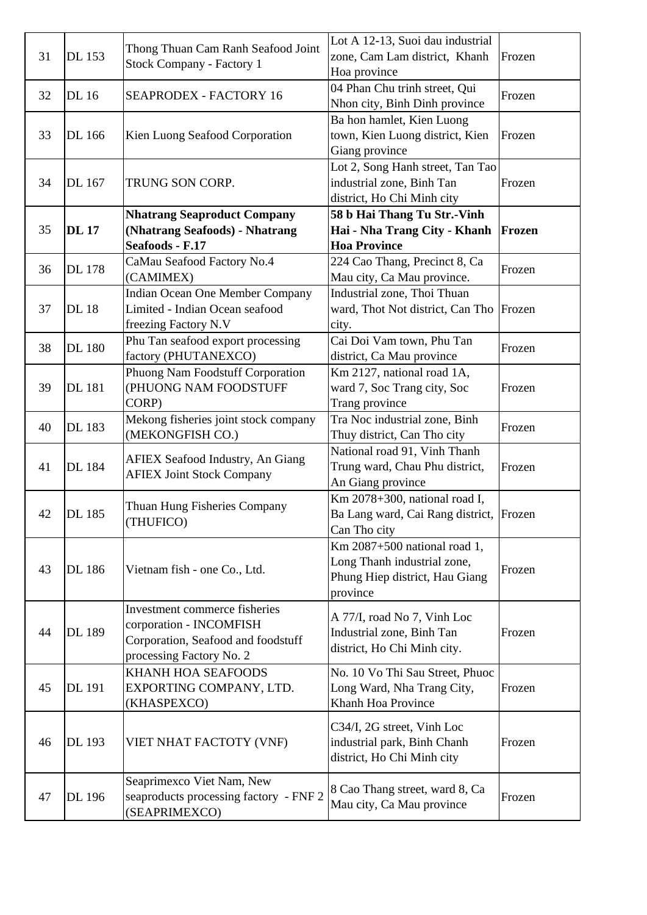| 31 | DL 153        | Thong Thuan Cam Ranh Seafood Joint<br><b>Stock Company - Factory 1</b>                                                     | Lot A 12-13, Suoi dau industrial<br>zone, Cam Lam district, Khanh<br>Hoa province                         | Frozen |
|----|---------------|----------------------------------------------------------------------------------------------------------------------------|-----------------------------------------------------------------------------------------------------------|--------|
| 32 | <b>DL</b> 16  | <b>SEAPRODEX - FACTORY 16</b>                                                                                              | 04 Phan Chu trinh street, Qui<br>Nhon city, Binh Dinh province                                            | Frozen |
| 33 | DL 166        | Kien Luong Seafood Corporation                                                                                             | Ba hon hamlet, Kien Luong<br>town, Kien Luong district, Kien<br>Giang province                            | Frozen |
| 34 | DL 167        | TRUNG SON CORP.                                                                                                            | Lot 2, Song Hanh street, Tan Tao<br>industrial zone, Binh Tan<br>district, Ho Chi Minh city               | Frozen |
| 35 | <b>DL17</b>   | <b>Nhatrang Seaproduct Company</b><br>(Nhatrang Seafoods) - Nhatrang<br>Seafoods - F.17                                    | 58 b Hai Thang Tu Str.-Vinh<br>Hai - Nha Trang City - Khanh<br><b>Hoa Province</b>                        | Frozen |
| 36 | <b>DL</b> 178 | CaMau Seafood Factory No.4<br>(CAMIMEX)                                                                                    | 224 Cao Thang, Precinct 8, Ca<br>Mau city, Ca Mau province.                                               | Frozen |
| 37 | <b>DL18</b>   | <b>Indian Ocean One Member Company</b><br>Limited - Indian Ocean seafood<br>freezing Factory N.V                           | Industrial zone, Thoi Thuan<br>ward, Thot Not district, Can Tho<br>city.                                  | Frozen |
| 38 | <b>DL</b> 180 | Phu Tan seafood export processing<br>factory (PHUTANEXCO)                                                                  | Cai Doi Vam town, Phu Tan<br>district, Ca Mau province                                                    | Frozen |
| 39 | <b>DL</b> 181 | Phuong Nam Foodstuff Corporation<br>(PHUONG NAM FOODSTUFF<br>CORP)                                                         | Km 2127, national road 1A,<br>ward 7, Soc Trang city, Soc<br>Trang province                               | Frozen |
| 40 | <b>DL</b> 183 | Mekong fisheries joint stock company<br>(MEKONGFISH CO.)                                                                   | Tra Noc industrial zone, Binh<br>Thuy district, Can Tho city                                              | Frozen |
| 41 | DL 184        | <b>AFIEX Seafood Industry, An Giang</b><br><b>AFIEX Joint Stock Company</b>                                                | National road 91, Vinh Thanh<br>Trung ward, Chau Phu district,<br>An Giang province                       | Frozen |
| 42 | DL 185        | Thuan Hung Fisheries Company<br>(THUFICO)                                                                                  | $Km 2078+300$ , national road I,<br>Ba Lang ward, Cai Rang district, Frozen<br>Can Tho city               |        |
| 43 | <b>DL</b> 186 | Vietnam fish - one Co., Ltd.                                                                                               | Km 2087+500 national road 1,<br>Long Thanh industrial zone,<br>Phung Hiep district, Hau Giang<br>province | Frozen |
| 44 | <b>DL</b> 189 | Investment commerce fisheries<br>corporation - INCOMFISH<br>Corporation, Seafood and foodstuff<br>processing Factory No. 2 | A 77/I, road No 7, Vinh Loc<br>Industrial zone, Binh Tan<br>district, Ho Chi Minh city.                   | Frozen |
| 45 | DL 191        | KHANH HOA SEAFOODS<br>EXPORTING COMPANY, LTD.<br>(KHASPEXCO)                                                               | No. 10 Vo Thi Sau Street, Phuoc<br>Long Ward, Nha Trang City,<br>Khanh Hoa Province                       | Frozen |
| 46 | <b>DL</b> 193 | VIET NHAT FACTOTY (VNF)                                                                                                    | C34/I, 2G street, Vinh Loc<br>industrial park, Binh Chanh<br>district, Ho Chi Minh city                   | Frozen |
| 47 | DL 196        | Seaprimexco Viet Nam, New<br>seaproducts processing factory - FNF 2<br>(SEAPRIMEXCO)                                       | 8 Cao Thang street, ward 8, Ca<br>Mau city, Ca Mau province                                               | Frozen |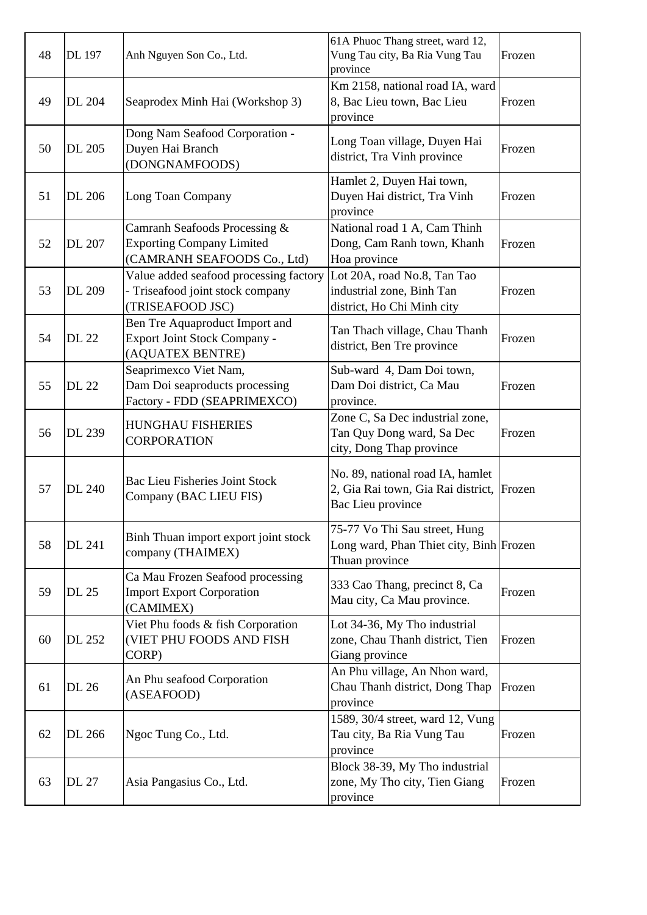| 48 | DL 197 | Anh Nguyen Son Co., Ltd.                                                                         | 61A Phuoc Thang street, ward 12,<br>Vung Tau city, Ba Ria Vung Tau<br>province                     | Frozen |
|----|--------|--------------------------------------------------------------------------------------------------|----------------------------------------------------------------------------------------------------|--------|
| 49 | DL 204 | Seaprodex Minh Hai (Workshop 3)                                                                  | Km 2158, national road IA, ward<br>8, Bac Lieu town, Bac Lieu<br>province                          | Frozen |
| 50 | DL 205 | Dong Nam Seafood Corporation -<br>Duyen Hai Branch<br>(DONGNAMFOODS)                             | Long Toan village, Duyen Hai<br>district, Tra Vinh province                                        | Frozen |
| 51 | DL 206 | Long Toan Company                                                                                | Hamlet 2, Duyen Hai town,<br>Duyen Hai district, Tra Vinh<br>province                              | Frozen |
| 52 | DL 207 | Camranh Seafoods Processing &<br><b>Exporting Company Limited</b><br>(CAMRANH SEAFOODS Co., Ltd) | National road 1 A, Cam Thinh<br>Dong, Cam Ranh town, Khanh<br>Hoa province                         | Frozen |
| 53 | DL 209 | Value added seafood processing factory<br>- Triseafood joint stock company<br>(TRISEAFOOD JSC)   | Lot 20A, road No.8, Tan Tao<br>industrial zone, Binh Tan<br>district, Ho Chi Minh city             | Frozen |
| 54 | DL 22  | Ben Tre Aquaproduct Import and<br><b>Export Joint Stock Company -</b><br>(AQUATEX BENTRE)        | Tan Thach village, Chau Thanh<br>district, Ben Tre province                                        | Frozen |
| 55 | DL 22  | Seaprimexco Viet Nam,<br>Dam Doi seaproducts processing<br>Factory - FDD (SEAPRIMEXCO)           | Sub-ward 4, Dam Doi town,<br>Dam Doi district, Ca Mau<br>province.                                 | Frozen |
| 56 | DL 239 | <b>HUNGHAU FISHERIES</b><br><b>CORPORATION</b>                                                   | Zone C, Sa Dec industrial zone,<br>Tan Quy Dong ward, Sa Dec<br>city, Dong Thap province           | Frozen |
| 57 | DL 240 | <b>Bac Lieu Fisheries Joint Stock</b><br>Company (BAC LIEU FIS)                                  | No. 89, national road IA, hamlet<br>2, Gia Rai town, Gia Rai district, Frozen<br>Bac Lieu province |        |
| 58 | DL 241 | Binh Thuan import export joint stock<br>company (THAIMEX)                                        | 75-77 Vo Thi Sau street, Hung<br>Long ward, Phan Thiet city, Binh Frozen<br>Thuan province         |        |
| 59 | DL 25  | Ca Mau Frozen Seafood processing<br><b>Import Export Corporation</b><br>(CAMIMEX)                | 333 Cao Thang, precinct 8, Ca<br>Mau city, Ca Mau province.                                        | Frozen |
| 60 | DL 252 | Viet Phu foods & fish Corporation<br>(VIET PHU FOODS AND FISH<br>CORP)                           | Lot 34-36, My Tho industrial<br>zone, Chau Thanh district, Tien<br>Giang province                  | Frozen |
| 61 | DL 26  | An Phu seafood Corporation<br>(ASEAFOOD)                                                         | An Phu village, An Nhon ward,<br>Chau Thanh district, Dong Thap<br>province                        | Frozen |
| 62 | DL 266 | Ngoc Tung Co., Ltd.                                                                              | 1589, 30/4 street, ward 12, Vung<br>Tau city, Ba Ria Vung Tau<br>province                          | Frozen |
| 63 | DL 27  | Asia Pangasius Co., Ltd.                                                                         | Block 38-39, My Tho industrial<br>zone, My Tho city, Tien Giang<br>province                        | Frozen |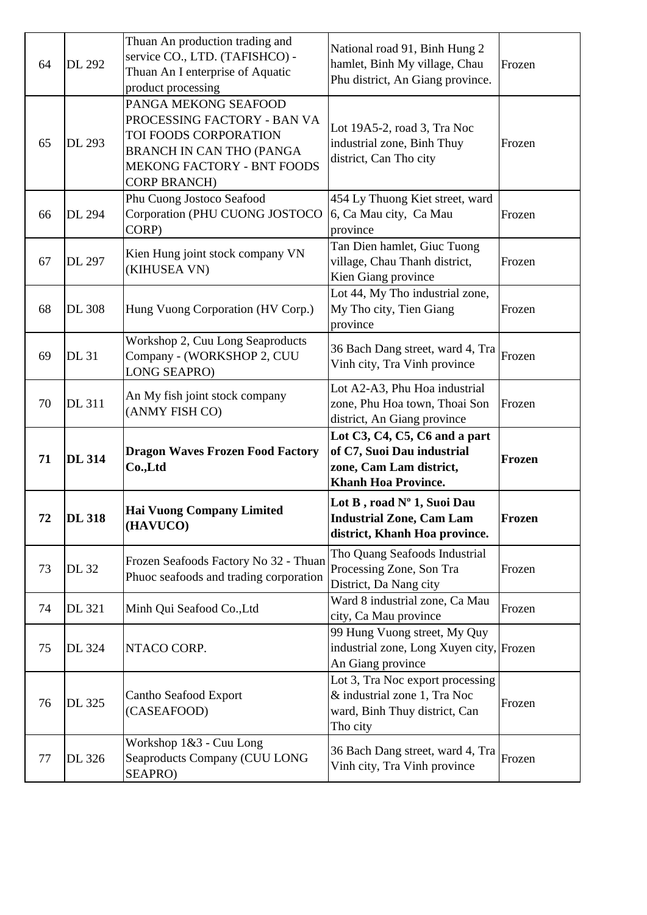| 64 | <b>DL 292</b> | Thuan An production trading and<br>service CO., LTD. (TAFISHCO) -<br>Thuan An I enterprise of Aquatic<br>product processing                                                 | National road 91, Binh Hung 2<br>hamlet, Binh My village, Chau<br>Phu district, An Giang province.            | Frozen |
|----|---------------|-----------------------------------------------------------------------------------------------------------------------------------------------------------------------------|---------------------------------------------------------------------------------------------------------------|--------|
| 65 | DL 293        | PANGA MEKONG SEAFOOD<br>PROCESSING FACTORY - BAN VA<br>TOI FOODS CORPORATION<br><b>BRANCH IN CAN THO (PANGA</b><br><b>MEKONG FACTORY - BNT FOODS</b><br><b>CORP BRANCH)</b> | Lot 19A5-2, road 3, Tra Noc<br>industrial zone, Binh Thuy<br>district, Can Tho city                           | Frozen |
| 66 | <b>DL 294</b> | Phu Cuong Jostoco Seafood<br>Corporation (PHU CUONG JOSTOCO<br>CORP)                                                                                                        | 454 Ly Thuong Kiet street, ward<br>6, Ca Mau city, Ca Mau<br>province                                         | Frozen |
| 67 | <b>DL 297</b> | Kien Hung joint stock company VN<br>(KIHUSEA VN)                                                                                                                            | Tan Dien hamlet, Giuc Tuong<br>village, Chau Thanh district,<br>Kien Giang province                           | Frozen |
| 68 | <b>DL 308</b> | Hung Vuong Corporation (HV Corp.)                                                                                                                                           | Lot 44, My Tho industrial zone,<br>My Tho city, Tien Giang<br>province                                        | Frozen |
| 69 | <b>DL 31</b>  | Workshop 2, Cuu Long Seaproducts<br>Company - (WORKSHOP 2, CUU<br><b>LONG SEAPRO)</b>                                                                                       | 36 Bach Dang street, ward 4, Tra<br>Vinh city, Tra Vinh province                                              | Frozen |
| 70 | <b>DL 311</b> | An My fish joint stock company<br>(ANMY FISH CO)                                                                                                                            | Lot A2-A3, Phu Hoa industrial<br>zone, Phu Hoa town, Thoai Son<br>district, An Giang province                 | Frozen |
|    |               |                                                                                                                                                                             | Lot C3, C4, C5, C6 and a part<br>of C7, Suoi Dau industrial                                                   |        |
| 71 | <b>DL 314</b> | <b>Dragon Waves Frozen Food Factory</b><br>Co.,Ltd                                                                                                                          | zone, Cam Lam district,<br><b>Khanh Hoa Province.</b>                                                         | Frozen |
| 72 | <b>DL 318</b> | <b>Hai Vuong Company Limited</b><br>(HAVUCO)                                                                                                                                | Lot B, road Nº 1, Suoi Dau<br><b>Industrial Zone, Cam Lam</b><br>district, Khanh Hoa province.                | Frozen |
| 73 | <b>DL</b> 32  | Frozen Seafoods Factory No 32 - Thuan<br>Phuoc seafoods and trading corporation                                                                                             | Tho Quang Seafoods Industrial<br>Processing Zone, Son Tra<br>District, Da Nang city                           | Frozen |
| 74 | DL 321        | Minh Qui Seafood Co., Ltd                                                                                                                                                   | Ward 8 industrial zone, Ca Mau<br>city, Ca Mau province                                                       | Frozen |
| 75 | DL 324        | NTACO CORP.                                                                                                                                                                 | 99 Hung Vuong street, My Quy<br>industrial zone, Long Xuyen city, Frozen<br>An Giang province                 |        |
| 76 | DL 325        | Cantho Seafood Export<br>(CASEAFOOD)                                                                                                                                        | Lot 3, Tra Noc export processing<br>& industrial zone 1, Tra Noc<br>ward, Binh Thuy district, Can<br>Tho city | Frozen |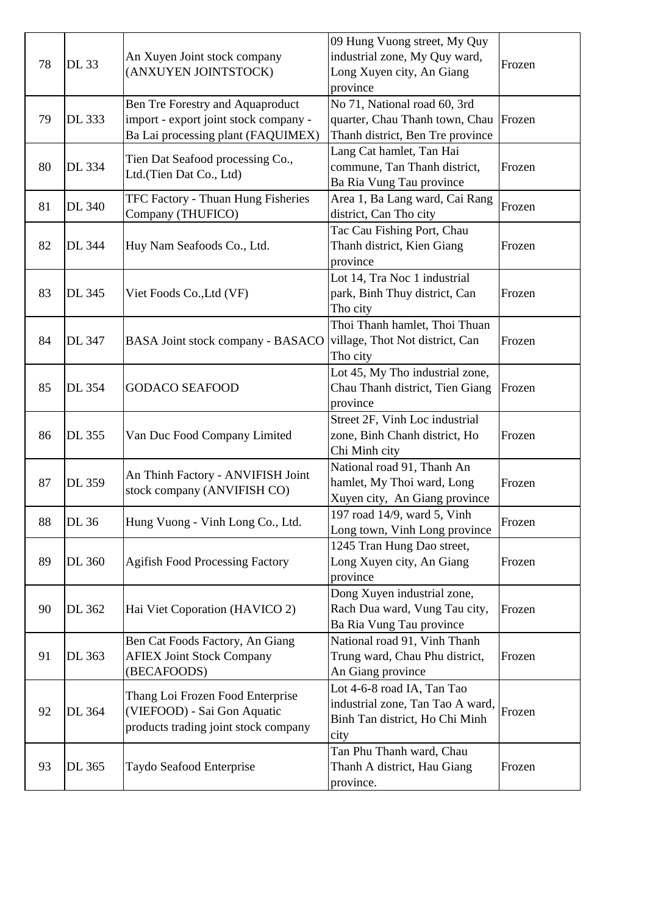| 78 | DL 33         | An Xuyen Joint stock company<br>(ANXUYEN JOINTSTOCK)                                                            | 09 Hung Vuong street, My Quy<br>industrial zone, My Quy ward,<br>Long Xuyen city, An Giang<br>province   | Frozen |
|----|---------------|-----------------------------------------------------------------------------------------------------------------|----------------------------------------------------------------------------------------------------------|--------|
| 79 | DL 333        | Ben Tre Forestry and Aquaproduct<br>import - export joint stock company -<br>Ba Lai processing plant (FAQUIMEX) | No 71, National road 60, 3rd<br>quarter, Chau Thanh town, Chau<br>Thanh district, Ben Tre province       | Frozen |
| 80 | DL 334        | Tien Dat Seafood processing Co.,<br>Ltd.(Tien Dat Co., Ltd)                                                     | Lang Cat hamlet, Tan Hai<br>commune, Tan Thanh district,<br>Ba Ria Vung Tau province                     | Frozen |
| 81 | <b>DL 340</b> | <b>TFC Factory - Thuan Hung Fisheries</b><br>Company (THUFICO)                                                  | Area 1, Ba Lang ward, Cai Rang<br>district, Can Tho city                                                 | Frozen |
| 82 | <b>DL</b> 344 | Huy Nam Seafoods Co., Ltd.                                                                                      | Tac Cau Fishing Port, Chau<br>Thanh district, Kien Giang<br>province                                     | Frozen |
| 83 | DL 345        | Viet Foods Co., Ltd (VF)                                                                                        | Lot 14, Tra Noc 1 industrial<br>park, Binh Thuy district, Can<br>Tho city                                | Frozen |
| 84 | <b>DL 347</b> | BASA Joint stock company - BASACO                                                                               | Thoi Thanh hamlet, Thoi Thuan<br>village, Thot Not district, Can<br>Tho city                             | Frozen |
| 85 | <b>DL</b> 354 | <b>GODACO SEAFOOD</b>                                                                                           | Lot 45, My Tho industrial zone,<br>Chau Thanh district, Tien Giang<br>province                           | Frozen |
| 86 | DL 355        | Van Duc Food Company Limited                                                                                    | Street 2F, Vinh Loc industrial<br>zone, Binh Chanh district, Ho<br>Chi Minh city                         | Frozen |
| 87 | DL 359        | An Thinh Factory - ANVIFISH Joint<br>stock company (ANVIFISH CO)                                                | National road 91, Thanh An<br>hamlet, My Thoi ward, Long<br>Xuyen city, An Giang province                | Frozen |
| 88 | DL 36         | Hung Vuong - Vinh Long Co., Ltd.                                                                                | 197 road 14/9, ward 5, Vinh<br>Long town, Vinh Long province                                             | Frozen |
| 89 | DL 360        | <b>Agifish Food Processing Factory</b>                                                                          | 1245 Tran Hung Dao street,<br>Long Xuyen city, An Giang<br>province                                      | Frozen |
| 90 | DL 362        | Hai Viet Coporation (HAVICO 2)                                                                                  | Dong Xuyen industrial zone,<br>Rach Dua ward, Vung Tau city,<br>Ba Ria Vung Tau province                 | Frozen |
| 91 | DL 363        | Ben Cat Foods Factory, An Giang<br><b>AFIEX Joint Stock Company</b><br>(BECAFOODS)                              | National road 91, Vinh Thanh<br>Trung ward, Chau Phu district,<br>An Giang province                      | Frozen |
| 92 | DL 364        | Thang Loi Frozen Food Enterprise<br>(VIEFOOD) - Sai Gon Aquatic<br>products trading joint stock company         | Lot 4-6-8 road IA, Tan Tao<br>industrial zone, Tan Tao A ward,<br>Binh Tan district, Ho Chi Minh<br>city | Frozen |
| 93 | DL 365        | Taydo Seafood Enterprise                                                                                        | Tan Phu Thanh ward, Chau<br>Thanh A district, Hau Giang<br>province.                                     | Frozen |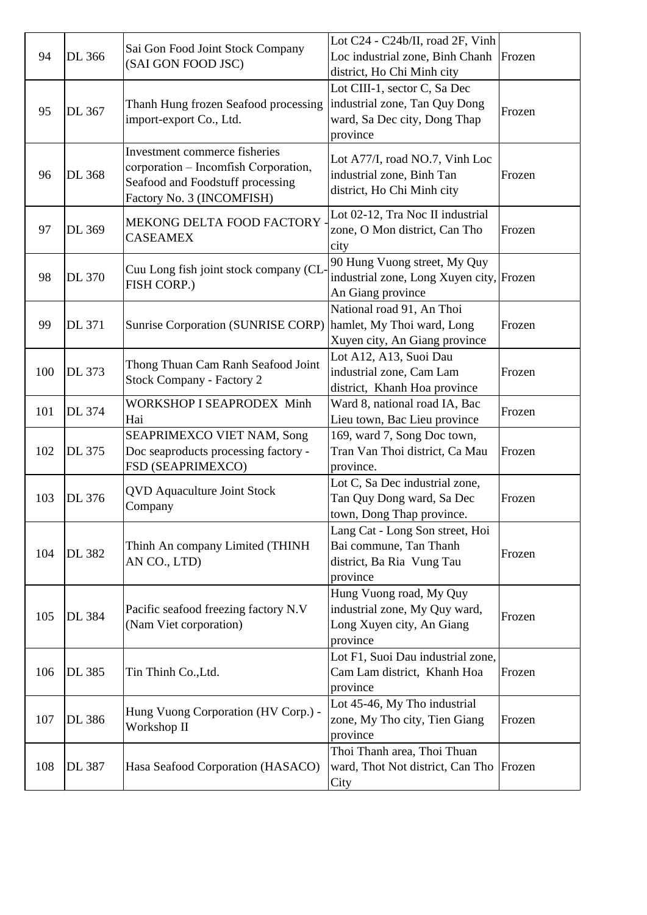| 94  | DL 366         | Sai Gon Food Joint Stock Company<br>(SAI GON FOOD JSC)                                                                                 | Lot C24 - C24b/II, road 2F, Vinh<br>Loc industrial zone, Binh Chanh<br>district, Ho Chi Minh city         | Frozen |
|-----|----------------|----------------------------------------------------------------------------------------------------------------------------------------|-----------------------------------------------------------------------------------------------------------|--------|
| 95  | DL 367         | Thanh Hung frozen Seafood processing<br>import-export Co., Ltd.                                                                        | Lot CIII-1, sector C, Sa Dec<br>industrial zone, Tan Quy Dong<br>ward, Sa Dec city, Dong Thap<br>province | Frozen |
| 96  | <b>DL 368</b>  | Investment commerce fisheries<br>corporation - Incomfish Corporation,<br>Seafood and Foodstuff processing<br>Factory No. 3 (INCOMFISH) | Lot A77/I, road NO.7, Vinh Loc<br>industrial zone, Binh Tan<br>district, Ho Chi Minh city                 | Frozen |
| 97  | DL 369         | MEKONG DELTA FOOD FACTORY<br><b>CASEAMEX</b>                                                                                           | Lot 02-12, Tra Noc II industrial<br>zone, O Mon district, Can Tho<br>city                                 | Frozen |
| 98  | <b>DL 370</b>  | Cuu Long fish joint stock company (CL<br>FISH CORP.)                                                                                   | 90 Hung Vuong street, My Quy<br>industrial zone, Long Xuyen city, Frozen<br>An Giang province             |        |
| 99  | DL 371         | <b>Sunrise Corporation (SUNRISE CORP)</b>                                                                                              | National road 91, An Thoi<br>hamlet, My Thoi ward, Long<br>Xuyen city, An Giang province                  | Frozen |
| 100 | DL 373         | Thong Thuan Cam Ranh Seafood Joint<br><b>Stock Company - Factory 2</b>                                                                 | Lot A12, A13, Suoi Dau<br>industrial zone, Cam Lam<br>district, Khanh Hoa province                        | Frozen |
| 101 | DL 374         | <b>WORKSHOP I SEAPRODEX Minh</b><br>Hai                                                                                                | Ward 8, national road IA, Bac<br>Lieu town, Bac Lieu province                                             | Frozen |
| 102 | DL 375         | SEAPRIMEXCO VIET NAM, Song<br>Doc seaproducts processing factory -<br>FSD (SEAPRIMEXCO)                                                | 169, ward 7, Song Doc town,<br>Tran Van Thoi district, Ca Mau<br>province.                                | Frozen |
| 103 | $\vert$ DL 376 | <b>QVD</b> Aquaculture Joint Stock<br>Company                                                                                          | Lot C, Sa Dec industrial zone,<br>Tan Quy Dong ward, Sa Dec<br>town, Dong Thap province.                  | Frozen |
| 104 | DL 382         | Thinh An company Limited (THINH<br>AN CO., LTD)                                                                                        | Lang Cat - Long Son street, Hoi<br>Bai commune, Tan Thanh<br>district, Ba Ria Vung Tau<br>province        | Frozen |
| 105 | <b>DL</b> 384  | Pacific seafood freezing factory N.V<br>(Nam Viet corporation)                                                                         | Hung Vuong road, My Quy<br>industrial zone, My Quy ward,<br>Long Xuyen city, An Giang<br>province         | Frozen |
| 106 | DL 385         | Tin Thinh Co., Ltd.                                                                                                                    | Lot F1, Suoi Dau industrial zone,<br>Cam Lam district, Khanh Hoa<br>province                              | Frozen |
| 107 | DL 386         | Hung Vuong Corporation (HV Corp.) -<br>Workshop II                                                                                     | Lot 45-46, My Tho industrial<br>zone, My Tho city, Tien Giang<br>province                                 | Frozen |
| 108 | <b>DL 387</b>  | Hasa Seafood Corporation (HASACO)                                                                                                      | Thoi Thanh area, Thoi Thuan<br>ward, Thot Not district, Can Tho Frozen<br>City                            |        |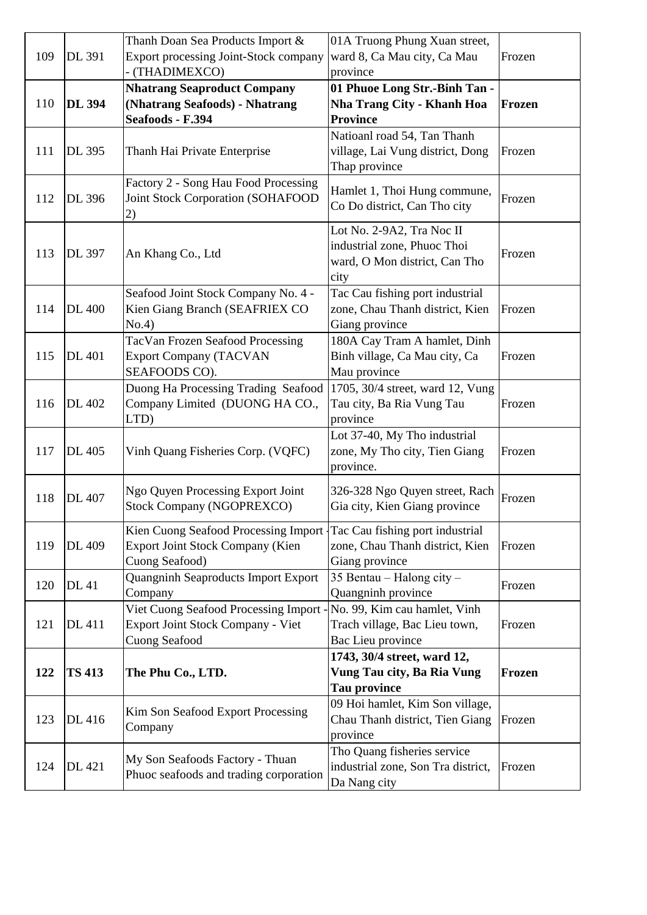|     |               | Thanh Doan Sea Products Import &         | 01A Truong Phung Xuan street,      |        |
|-----|---------------|------------------------------------------|------------------------------------|--------|
| 109 | <b>DL 391</b> | Export processing Joint-Stock company    | ward 8, Ca Mau city, Ca Mau        | Frozen |
|     |               | - (THADIMEXCO)                           | province                           |        |
|     |               | <b>Nhatrang Seaproduct Company</b>       | 01 Phuoe Long Str.-Binh Tan -      |        |
| 110 | <b>DL 394</b> | (Nhatrang Seafoods) - Nhatrang           | <b>Nha Trang City - Khanh Hoa</b>  | Frozen |
|     |               | Seafoods - F.394                         | <b>Province</b>                    |        |
|     |               |                                          | Natioanl road 54, Tan Thanh        |        |
| 111 | <b>DL 395</b> | Thanh Hai Private Enterprise             | village, Lai Vung district, Dong   | Frozen |
|     |               |                                          | Thap province                      |        |
|     |               | Factory 2 - Song Hau Food Processing     |                                    |        |
| 112 | <b>DL</b> 396 | <b>Joint Stock Corporation (SOHAFOOD</b> | Hamlet 1, Thoi Hung commune,       | Frozen |
|     |               | 2)                                       | Co Do district, Can Tho city       |        |
|     |               |                                          | Lot No. 2-9A2, Tra Noc II          |        |
|     |               |                                          | industrial zone, Phuoc Thoi        |        |
| 113 | <b>DL</b> 397 | An Khang Co., Ltd                        | ward, O Mon district, Can Tho      | Frozen |
|     |               |                                          | city                               |        |
|     |               | Seafood Joint Stock Company No. 4 -      | Tac Cau fishing port industrial    |        |
| 114 | <b>DL</b> 400 | Kien Giang Branch (SEAFRIEX CO           | zone, Chau Thanh district, Kien    | Frozen |
|     |               | No.4)                                    | Giang province                     |        |
|     |               | <b>TacVan Frozen Seafood Processing</b>  | 180A Cay Tram A hamlet, Dinh       |        |
| 115 | <b>DL</b> 401 | <b>Export Company (TACVAN</b>            | Binh village, Ca Mau city, Ca      | Frozen |
|     |               | SEAFOODS CO).                            | Mau province                       |        |
|     |               | Duong Ha Processing Trading Seafood      | 1705, 30/4 street, ward 12, Vung   |        |
| 116 | DL 402        | Company Limited (DUONG HA CO.,           | Tau city, Ba Ria Vung Tau          | Frozen |
|     |               | LTD)                                     | province                           |        |
|     |               |                                          | Lot 37-40, My Tho industrial       |        |
| 117 | <b>DL</b> 405 | Vinh Quang Fisheries Corp. (VQFC)        | zone, My Tho city, Tien Giang      | Frozen |
|     |               |                                          | province.                          |        |
|     |               | Ngo Quyen Processing Export Joint        | 326-328 Ngo Quyen street, Rach     |        |
| 118 | <b>DL</b> 407 | <b>Stock Company (NGOPREXCO)</b>         | Gia city, Kien Giang province      | Frozen |
|     |               |                                          |                                    |        |
|     |               | Kien Cuong Seafood Processing Import     | Tac Cau fishing port industrial    |        |
| 119 | DL 409        | <b>Export Joint Stock Company (Kien</b>  | zone, Chau Thanh district, Kien    | Frozen |
|     |               | Cuong Seafood)                           | Giang province                     |        |
| 120 | <b>DL</b> 41  | Quangninh Seaproducts Import Export      | 35 Bentau – Halong city –          | Frozen |
|     |               | Company                                  | Quangninh province                 |        |
|     |               | Viet Cuong Seafood Processing Import     | No. 99, Kim cau hamlet, Vinh       |        |
| 121 | DL 411        | <b>Export Joint Stock Company - Viet</b> | Trach village, Bac Lieu town,      | Frozen |
|     |               | <b>Cuong Seafood</b>                     | Bac Lieu province                  |        |
|     |               |                                          | 1743, 30/4 street, ward 12,        |        |
| 122 | <b>TS 413</b> | The Phu Co., LTD.                        | Vung Tau city, Ba Ria Vung         | Frozen |
|     |               |                                          | <b>Tau province</b>                |        |
|     |               | Kim Son Seafood Export Processing        | 09 Hoi hamlet, Kim Son village,    |        |
| 123 | DL 416        | Company                                  | Chau Thanh district, Tien Giang    | Frozen |
|     |               |                                          | province                           |        |
|     |               | My Son Seafoods Factory - Thuan          | Tho Quang fisheries service        |        |
| 124 | DL 421        | Phuoc seafoods and trading corporation   | industrial zone, Son Tra district, | Frozen |
|     |               |                                          | Da Nang city                       |        |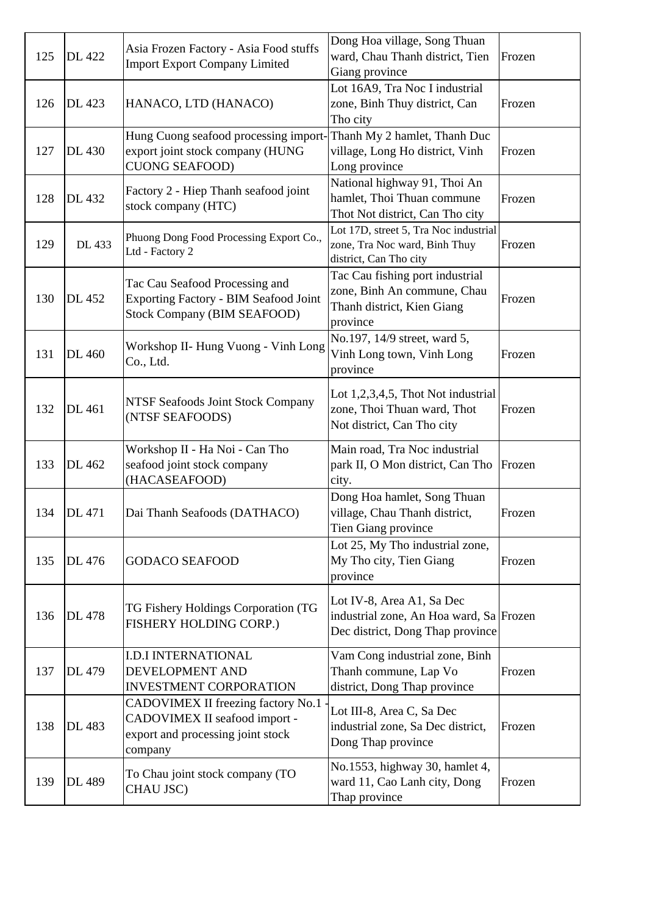| 125 | <b>DL</b> 422 | Asia Frozen Factory - Asia Food stuffs<br><b>Import Export Company Limited</b>                                                 | Dong Hoa village, Song Thuan<br>ward, Chau Thanh district, Tien<br>Giang province                        | Frozen |
|-----|---------------|--------------------------------------------------------------------------------------------------------------------------------|----------------------------------------------------------------------------------------------------------|--------|
| 126 | DL 423        | HANACO, LTD (HANACO)                                                                                                           | Lot 16A9, Tra Noc I industrial<br>zone, Binh Thuy district, Can<br>Tho city                              | Frozen |
| 127 | DL 430        | Hung Cuong seafood processing import-Thanh My 2 hamlet, Thanh Duc<br>export joint stock company (HUNG<br><b>CUONG SEAFOOD)</b> | village, Long Ho district, Vinh<br>Long province                                                         | Frozen |
| 128 | DL 432        | Factory 2 - Hiep Thanh seafood joint<br>stock company (HTC)                                                                    | National highway 91, Thoi An<br>hamlet, Thoi Thuan commune<br>Thot Not district, Can Tho city            | Frozen |
| 129 | DL 433        | Phuong Dong Food Processing Export Co.,<br>Ltd - Factory 2                                                                     | Lot 17D, street 5, Tra Noc industrial<br>zone, Tra Noc ward, Binh Thuy<br>district, Can Tho city         | Frozen |
| 130 | DL 452        | Tac Cau Seafood Processing and<br>Exporting Factory - BIM Seafood Joint<br><b>Stock Company (BIM SEAFOOD)</b>                  | Tac Cau fishing port industrial<br>zone, Binh An commune, Chau<br>Thanh district, Kien Giang<br>province | Frozen |
| 131 | DL 460        | Workshop II- Hung Vuong - Vinh Long<br>Co., Ltd.                                                                               | No.197, 14/9 street, ward 5,<br>Vinh Long town, Vinh Long<br>province                                    | Frozen |
| 132 | DL 461        | <b>NTSF Seafoods Joint Stock Company</b><br>(NTSF SEAFOODS)                                                                    | Lot $1,2,3,4,5$ , Thot Not industrial<br>zone, Thoi Thuan ward, Thot<br>Not district, Can Tho city       | Frozen |
| 133 | DL 462        | Workshop II - Ha Noi - Can Tho<br>seafood joint stock company<br>(HACASEAFOOD)                                                 | Main road, Tra Noc industrial<br>park II, O Mon district, Can Tho<br>city.                               | Frozen |
| 134 | <b>DL</b> 471 | Dai Thanh Seafoods (DATHACO)                                                                                                   | Dong Hoa hamlet, Song Thuan<br>village, Chau Thanh district,<br>Tien Giang province                      | Frozen |
| 135 | DL 476        | <b>GODACO SEAFOOD</b>                                                                                                          | Lot 25, My Tho industrial zone,<br>My Tho city, Tien Giang<br>province                                   | Frozen |
| 136 | DL 478        | TG Fishery Holdings Corporation (TG<br>FISHERY HOLDING CORP.)                                                                  | Lot IV-8, Area A1, Sa Dec<br>industrial zone, An Hoa ward, Sa Frozen<br>Dec district, Dong Thap province |        |
| 137 | DL 479        | <b>I.D.I INTERNATIONAL</b><br>DEVELOPMENT AND<br><b>INVESTMENT CORPORATION</b>                                                 | Vam Cong industrial zone, Binh<br>Thanh commune, Lap Vo<br>district, Dong Thap province                  | Frozen |
| 138 | DL 483        | CADOVIMEX II freezing factory No.1<br>CADOVIMEX II seafood import -<br>export and processing joint stock<br>company            | Lot III-8, Area C, Sa Dec<br>industrial zone, Sa Dec district,<br>Dong Thap province                     | Frozen |
| 139 | DL 489        | To Chau joint stock company (TO<br>CHAU JSC)                                                                                   | No.1553, highway 30, hamlet 4,<br>ward 11, Cao Lanh city, Dong<br>Thap province                          | Frozen |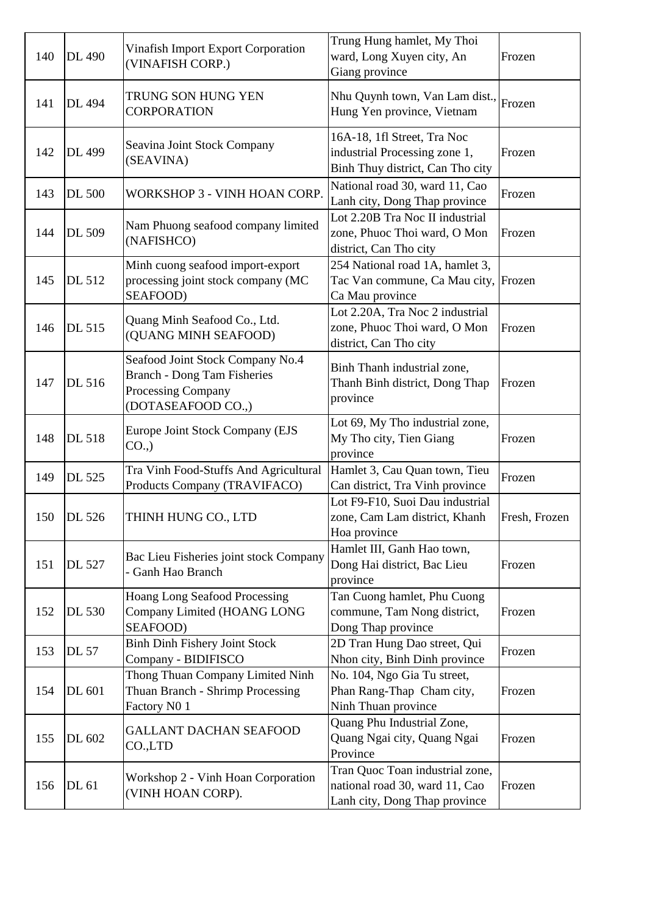| 140 | <b>DL</b> 490 | <b>Vinafish Import Export Corporation</b><br>(VINAFISH CORP.)                                                             | Trung Hung hamlet, My Thoi<br>ward, Long Xuyen city, An<br>Giang province                          | Frozen        |
|-----|---------------|---------------------------------------------------------------------------------------------------------------------------|----------------------------------------------------------------------------------------------------|---------------|
| 141 | <b>DL</b> 494 | TRUNG SON HUNG YEN<br><b>CORPORATION</b>                                                                                  | Nhu Quynh town, Van Lam dist.,<br>Hung Yen province, Vietnam                                       | Frozen        |
| 142 | DL 499        | Seavina Joint Stock Company<br>(SEAVINA)                                                                                  | 16A-18, 1fl Street, Tra Noc<br>industrial Processing zone 1,<br>Binh Thuy district, Can Tho city   | Frozen        |
| 143 | <b>DL 500</b> | WORKSHOP 3 - VINH HOAN CORP.                                                                                              | National road 30, ward 11, Cao<br>Lanh city, Dong Thap province                                    | Frozen        |
| 144 | DL 509        | Nam Phuong seafood company limited<br>(NAFISHCO)                                                                          | Lot 2.20B Tra Noc II industrial<br>zone, Phuoc Thoi ward, O Mon<br>district, Can Tho city          | Frozen        |
| 145 | DL 512        | Minh cuong seafood import-export<br>processing joint stock company (MC<br>SEAFOOD)                                        | 254 National road 1A, hamlet 3,<br>Tac Van commune, Ca Mau city, Frozen<br>Ca Mau province         |               |
| 146 | DL 515        | Quang Minh Seafood Co., Ltd.<br>(QUANG MINH SEAFOOD)                                                                      | Lot 2.20A, Tra Noc 2 industrial<br>zone, Phuoc Thoi ward, O Mon<br>district, Can Tho city          | Frozen        |
| 147 | DL 516        | Seafood Joint Stock Company No.4<br><b>Branch - Dong Tam Fisheries</b><br><b>Processing Company</b><br>(DOTASEAFOOD CO.,) | Binh Thanh industrial zone,<br>Thanh Binh district, Dong Thap<br>province                          | Frozen        |
| 148 | <b>DL 518</b> | Europe Joint Stock Company (EJS<br>CO.,                                                                                   | Lot 69, My Tho industrial zone,<br>My Tho city, Tien Giang<br>province                             | Frozen        |
| 149 | DL 525        | Tra Vinh Food-Stuffs And Agricultural<br>Products Company (TRAVIFACO)                                                     | Hamlet 3, Cau Quan town, Tieu<br>Can district, Tra Vinh province                                   | Frozen        |
| 150 | DL 526        | THINH HUNG CO., LTD                                                                                                       | Lot F9-F10, Suoi Dau industrial<br>zone, Cam Lam district, Khanh<br>Hoa province                   | Fresh, Frozen |
| 151 | DL 527        | Bac Lieu Fisheries joint stock Company<br>- Ganh Hao Branch                                                               | Hamlet III, Ganh Hao town,<br>Dong Hai district, Bac Lieu<br>province                              | Frozen        |
| 152 | <b>DL 530</b> | <b>Hoang Long Seafood Processing</b><br>Company Limited (HOANG LONG<br>SEAFOOD)                                           | Tan Cuong hamlet, Phu Cuong<br>commune, Tam Nong district,<br>Dong Thap province                   | Frozen        |
| 153 | <b>DL 57</b>  | <b>Binh Dinh Fishery Joint Stock</b><br>Company - BIDIFISCO                                                               | 2D Tran Hung Dao street, Qui<br>Nhon city, Binh Dinh province                                      | Frozen        |
| 154 | DL 601        | Thong Thuan Company Limited Ninh<br>Thuan Branch - Shrimp Processing<br>Factory N0 1                                      | No. 104, Ngo Gia Tu street,<br>Phan Rang-Thap Cham city,<br>Ninh Thuan province                    | Frozen        |
| 155 | DL 602        | <b>GALLANT DACHAN SEAFOOD</b><br>CO.,LTD                                                                                  | Quang Phu Industrial Zone,<br>Quang Ngai city, Quang Ngai<br>Province                              | Frozen        |
| 156 | DL 61         | Workshop 2 - Vinh Hoan Corporation<br>(VINH HOAN CORP).                                                                   | Tran Quoc Toan industrial zone,<br>national road 30, ward 11, Cao<br>Lanh city, Dong Thap province | Frozen        |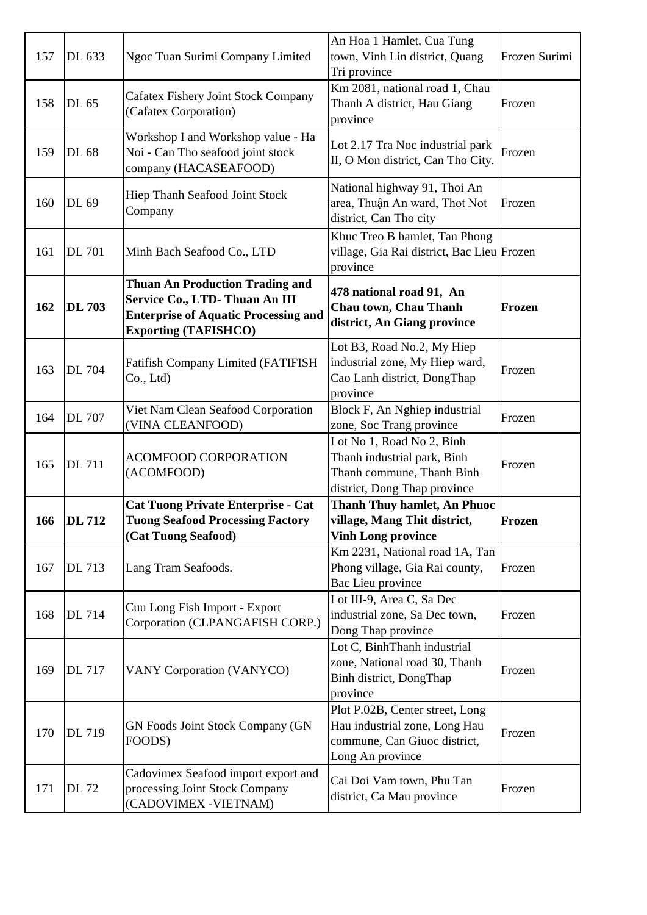| 157        | DL 633        | Ngoc Tuan Surimi Company Limited                                                                                                                      | An Hoa 1 Hamlet, Cua Tung<br>town, Vinh Lin district, Quang<br>Tri province                                           | Frozen Surimi |
|------------|---------------|-------------------------------------------------------------------------------------------------------------------------------------------------------|-----------------------------------------------------------------------------------------------------------------------|---------------|
| 158        | DL 65         | <b>Cafatex Fishery Joint Stock Company</b><br>(Cafatex Corporation)                                                                                   | Km 2081, national road 1, Chau<br>Thanh A district, Hau Giang<br>province                                             | Frozen        |
| 159        | DL 68         | Workshop I and Workshop value - Ha<br>Noi - Can Tho seafood joint stock<br>company (HACASEAFOOD)                                                      | Lot 2.17 Tra Noc industrial park<br>II, O Mon district, Can Tho City.                                                 | Frozen        |
| 160        | DL 69         | <b>Hiep Thanh Seafood Joint Stock</b><br>Company                                                                                                      | National highway 91, Thoi An<br>area, Thuận An ward, Thot Not<br>district, Can Tho city                               | Frozen        |
| 161        | <b>DL 701</b> | Minh Bach Seafood Co., LTD                                                                                                                            | Khuc Treo B hamlet, Tan Phong<br>village, Gia Rai district, Bac Lieu Frozen<br>province                               |               |
| 162        | <b>DL 703</b> | <b>Thuan An Production Trading and</b><br>Service Co., LTD-Thuan An III<br><b>Enterprise of Aquatic Processing and</b><br><b>Exporting (TAFISHCO)</b> | 478 national road 91, An<br>Chau town, Chau Thanh<br>district, An Giang province                                      | Frozen        |
| 163        | <b>DL 704</b> | <b>Fatifish Company Limited (FATIFISH</b><br>Co., Ltd.)                                                                                               | Lot B3, Road No.2, My Hiep<br>industrial zone, My Hiep ward,<br>Cao Lanh district, DongThap<br>province               | Frozen        |
| 164        | <b>DL</b> 707 | Viet Nam Clean Seafood Corporation<br>(VINA CLEANFOOD)                                                                                                | Block F, An Nghiep industrial<br>zone, Soc Trang province                                                             | Frozen        |
| 165        | <b>DL711</b>  | <b>ACOMFOOD CORPORATION</b><br>(ACOMFOOD)                                                                                                             | Lot No 1, Road No 2, Binh<br>Thanh industrial park, Binh<br>Thanh commune, Thanh Binh<br>district, Dong Thap province | Frozen        |
| <b>166</b> | <b>DL</b> 712 | <b>Cat Tuong Private Enterprise - Cat</b><br><b>Tuong Seafood Processing Factory</b><br>(Cat Tuong Seafood)                                           | <b>Thanh Thuy hamlet, An Phuoc</b><br>village, Mang Thit district,<br><b>Vinh Long province</b>                       | Frozen        |
| 167        | DL 713        | Lang Tram Seafoods.                                                                                                                                   | Km 2231, National road 1A, Tan<br>Phong village, Gia Rai county,<br>Bac Lieu province                                 | Frozen        |
| 168        | <b>DL</b> 714 | Cuu Long Fish Import - Export<br>Corporation (CLPANGAFISH CORP.)                                                                                      | Lot III-9, Area C, Sa Dec<br>industrial zone, Sa Dec town,<br>Dong Thap province                                      | Frozen        |
| 169        | <b>DL</b> 717 | <b>VANY Corporation (VANYCO)</b>                                                                                                                      | Lot C, BinhThanh industrial<br>zone, National road 30, Thanh<br>Binh district, DongThap<br>province                   | Frozen        |
| 170        | DL 719        | <b>GN Foods Joint Stock Company (GN</b><br>FOODS)                                                                                                     | Plot P.02B, Center street, Long<br>Hau industrial zone, Long Hau<br>commune, Can Giuoc district,<br>Long An province  | Frozen        |
| 171        | <b>DL</b> 72  | Cadovimex Seafood import export and<br>processing Joint Stock Company<br>(CADOVIMEX - VIETNAM)                                                        | Cai Doi Vam town, Phu Tan<br>district, Ca Mau province                                                                | Frozen        |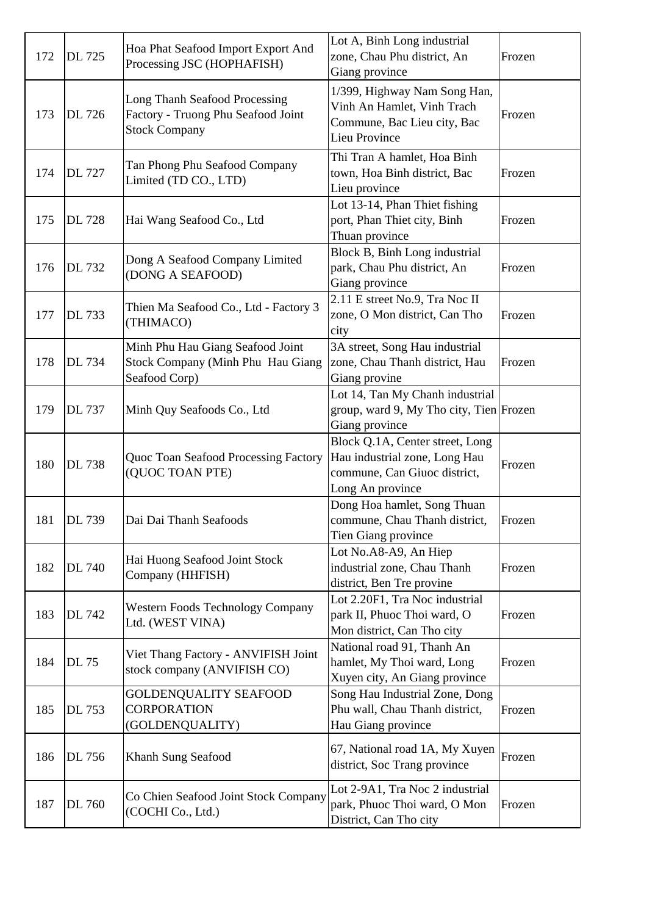| 172 | <b>DL</b> 725 | Hoa Phat Seafood Import Export And<br>Processing JSC (HOPHAFISH)                            | Lot A, Binh Long industrial<br>zone, Chau Phu district, An<br>Giang province                                         | Frozen |
|-----|---------------|---------------------------------------------------------------------------------------------|----------------------------------------------------------------------------------------------------------------------|--------|
| 173 | DL 726        | Long Thanh Seafood Processing<br>Factory - Truong Phu Seafood Joint<br><b>Stock Company</b> | 1/399, Highway Nam Song Han,<br>Vinh An Hamlet, Vinh Trach<br>Commune, Bac Lieu city, Bac<br>Lieu Province           | Frozen |
| 174 | <b>DL</b> 727 | Tan Phong Phu Seafood Company<br>Limited (TD CO., LTD)                                      | Thi Tran A hamlet, Hoa Binh<br>town, Hoa Binh district, Bac<br>Lieu province                                         | Frozen |
| 175 | DL 728        | Hai Wang Seafood Co., Ltd                                                                   | Lot 13-14, Phan Thiet fishing<br>port, Phan Thiet city, Binh<br>Thuan province                                       | Frozen |
| 176 | DL 732        | Dong A Seafood Company Limited<br>(DONG A SEAFOOD)                                          | Block B, Binh Long industrial<br>park, Chau Phu district, An<br>Giang province                                       | Frozen |
| 177 | DL 733        | Thien Ma Seafood Co., Ltd - Factory 3<br>(THIMACO)                                          | 2.11 E street No.9, Tra Noc II<br>zone, O Mon district, Can Tho<br>city                                              | Frozen |
| 178 | DL 734        | Minh Phu Hau Giang Seafood Joint<br>Stock Company (Minh Phu Hau Giang<br>Seafood Corp)      | 3A street, Song Hau industrial<br>zone, Chau Thanh district, Hau<br>Giang provine                                    | Frozen |
| 179 | DL 737        | Minh Quy Seafoods Co., Ltd                                                                  | Lot 14, Tan My Chanh industrial<br>group, ward 9, My Tho city, Tien Frozen<br>Giang province                         |        |
| 180 | DL 738        | Quoc Toan Seafood Processing Factory<br>(QUOC TOAN PTE)                                     | Block Q.1A, Center street, Long<br>Hau industrial zone, Long Hau<br>commune, Can Giuoc district,<br>Long An province | Frozen |
| 181 | DL 739        | Dai Dai Thanh Seafoods                                                                      | Dong Hoa hamlet, Song Thuan<br>commune, Chau Thanh district,<br>Tien Giang province                                  | Frozen |
| 182 | DL 740        | Hai Huong Seafood Joint Stock<br>Company (HHFISH)                                           | Lot No.A8-A9, An Hiep<br>industrial zone, Chau Thanh<br>district, Ben Tre provine                                    | Frozen |
| 183 | DL 742        | <b>Western Foods Technology Company</b><br>Ltd. (WEST VINA)                                 | Lot 2.20F1, Tra Noc industrial<br>park II, Phuoc Thoi ward, O<br>Mon district, Can Tho city                          | Frozen |
| 184 | <b>DL</b> 75  | Viet Thang Factory - ANVIFISH Joint<br>stock company (ANVIFISH CO)                          | National road 91, Thanh An<br>hamlet, My Thoi ward, Long<br>Xuyen city, An Giang province                            | Frozen |
| 185 | DL 753        | GOLDENQUALITY SEAFOOD<br><b>CORPORATION</b><br>(GOLDENQUALITY)                              | Song Hau Industrial Zone, Dong<br>Phu wall, Chau Thanh district,<br>Hau Giang province                               | Frozen |
| 186 | DL 756        | Khanh Sung Seafood                                                                          | 67, National road 1A, My Xuyen<br>district, Soc Trang province                                                       | Frozen |
| 187 | DL 760        | Co Chien Seafood Joint Stock Company<br>(COCHI Co., Ltd.)                                   | Lot 2-9A1, Tra Noc 2 industrial<br>park, Phuoc Thoi ward, O Mon<br>District, Can Tho city                            | Frozen |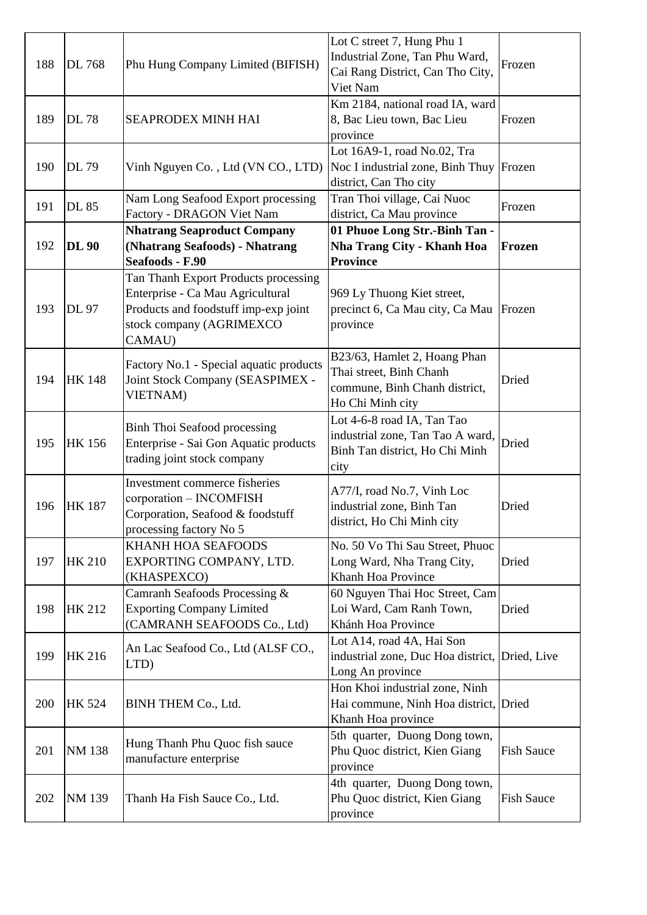| 188 | DL 768        | Phu Hung Company Limited (BIFISH)                                                                                                                      | Lot C street 7, Hung Phu 1<br>Industrial Zone, Tan Phu Ward,<br>Cai Rang District, Can Tho City,<br>Viet Nam | Frozen            |
|-----|---------------|--------------------------------------------------------------------------------------------------------------------------------------------------------|--------------------------------------------------------------------------------------------------------------|-------------------|
| 189 | <b>DL78</b>   | <b>SEAPRODEX MINH HAI</b>                                                                                                                              | Km 2184, national road IA, ward<br>8, Bac Lieu town, Bac Lieu<br>province                                    | Frozen            |
| 190 | DL 79         | Vinh Nguyen Co., Ltd (VN CO., LTD)                                                                                                                     | Lot 16A9-1, road No.02, Tra<br>Noc I industrial zone, Binh Thuy<br>district, Can Tho city                    | Frozen            |
| 191 | <b>DL 85</b>  | Nam Long Seafood Export processing<br>Factory - DRAGON Viet Nam                                                                                        | Tran Thoi village, Cai Nuoc<br>district, Ca Mau province                                                     | Frozen            |
| 192 | <b>DL 90</b>  | <b>Nhatrang Seaproduct Company</b><br>(Nhatrang Seafoods) - Nhatrang<br>Seafoods - F.90                                                                | 01 Phuoe Long Str.-Binh Tan -<br><b>Nha Trang City - Khanh Hoa</b><br><b>Province</b>                        | Frozen            |
| 193 | DL 97         | Tan Thanh Export Products processing<br>Enterprise - Ca Mau Agricultural<br>Products and foodstuff imp-exp joint<br>stock company (AGRIMEXCO<br>CAMAU) | 969 Ly Thuong Kiet street,<br>precinct 6, Ca Mau city, Ca Mau<br>province                                    | Frozen            |
| 194 | <b>HK148</b>  | Factory No.1 - Special aquatic products<br>Joint Stock Company (SEASPIMEX -<br><b>VIETNAM</b> )                                                        | B23/63, Hamlet 2, Hoang Phan<br>Thai street, Binh Chanh<br>commune, Binh Chanh district,<br>Ho Chi Minh city | Dried             |
| 195 | <b>HK156</b>  | <b>Binh Thoi Seafood processing</b><br>Enterprise - Sai Gon Aquatic products<br>trading joint stock company                                            | Lot 4-6-8 road IA, Tan Tao<br>industrial zone, Tan Tao A ward,<br>Binh Tan district, Ho Chi Minh<br>city     | Dried             |
| 196 | <b>HK187</b>  | Investment commerce fisheries<br>corporation – INCOMFISH<br>Corporation, Seafood & foodstuff<br>processing factory No 5                                | A77/I, road No.7, Vinh Loc<br>industrial zone, Binh Tan<br>district, Ho Chi Minh city                        | Dried             |
| 197 | <b>HK 210</b> | KHANH HOA SEAFOODS<br>EXPORTING COMPANY, LTD.<br>(KHASPEXCO)                                                                                           | No. 50 Vo Thi Sau Street, Phuoc<br>Long Ward, Nha Trang City,<br>Khanh Hoa Province                          | Dried             |
| 198 | <b>HK 212</b> | Camranh Seafoods Processing &<br><b>Exporting Company Limited</b><br>(CAMRANH SEAFOODS Co., Ltd)                                                       | 60 Nguyen Thai Hoc Street, Cam<br>Loi Ward, Cam Ranh Town,<br>Khánh Hoa Province                             | Dried             |
| 199 | <b>HK 216</b> | An Lac Seafood Co., Ltd (ALSF CO.,<br>LTD)                                                                                                             | Lot A14, road 4A, Hai Son<br>industrial zone, Duc Hoa district, Dried, Live<br>Long An province              |                   |
| 200 | <b>HK 524</b> | BINH THEM Co., Ltd.                                                                                                                                    | Hon Khoi industrial zone, Ninh<br>Hai commune, Ninh Hoa district, Dried<br>Khanh Hoa province                |                   |
| 201 | <b>NM138</b>  | Hung Thanh Phu Quoc fish sauce<br>manufacture enterprise                                                                                               | 5th quarter, Duong Dong town,<br>Phu Quoc district, Kien Giang<br>province                                   | <b>Fish Sauce</b> |
| 202 | NM 139        | Thanh Ha Fish Sauce Co., Ltd.                                                                                                                          | 4th quarter, Duong Dong town,<br>Phu Quoc district, Kien Giang<br>province                                   | <b>Fish Sauce</b> |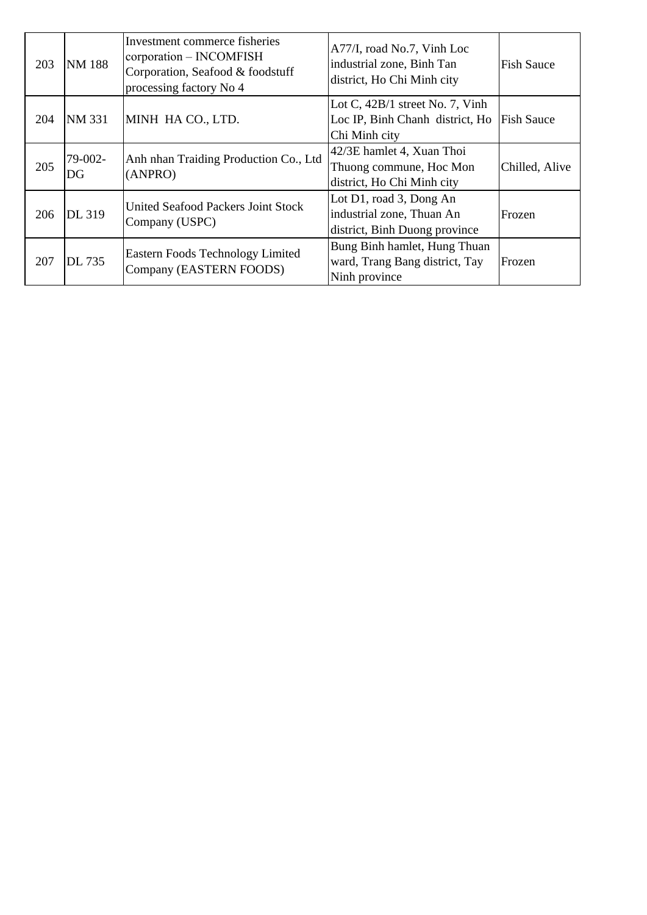| 203 | <b>NM188</b>  | Investment commerce fisheries<br>corporation - INCOMFISH<br>Corporation, Seafood & foodstuff<br>processing factory No 4 | A77/I, road No.7, Vinh Loc<br>industrial zone, Binh Tan<br>district, Ho Chi Minh city | <b>Fish Sauce</b> |
|-----|---------------|-------------------------------------------------------------------------------------------------------------------------|---------------------------------------------------------------------------------------|-------------------|
| 204 | <b>NM 331</b> | MINH HA CO., LTD.                                                                                                       | Lot C, $42B/1$ street No. 7, Vinh<br>Loc IP, Binh Chanh district, Ho<br>Chi Minh city | <b>Fish Sauce</b> |
| 205 | 79-002-<br>DG | Anh nhan Traiding Production Co., Ltd<br>(ANPRO)                                                                        | 42/3E hamlet 4, Xuan Thoi<br>Thuong commune, Hoc Mon<br>district, Ho Chi Minh city    | Chilled, Alive    |
| 206 | DL 319        | United Seafood Packers Joint Stock<br>Company (USPC)                                                                    | Lot D1, road 3, Dong An<br>industrial zone, Thuan An<br>district, Binh Duong province | Frozen            |
| 207 | <b>DL 735</b> | <b>Eastern Foods Technology Limited</b><br>Company (EASTERN FOODS)                                                      | Bung Binh hamlet, Hung Thuan<br>ward, Trang Bang district, Tay<br>Ninh province       | Frozen            |